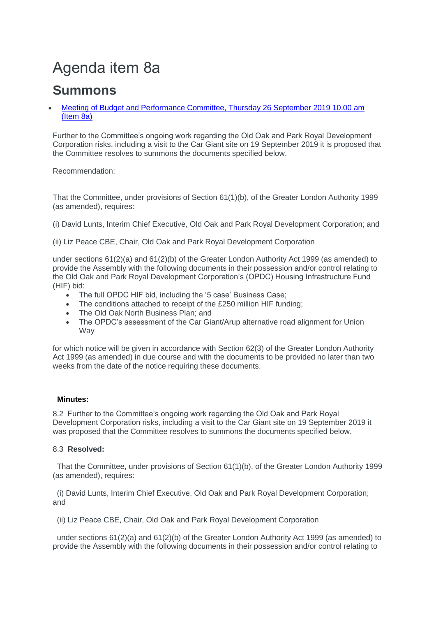## Agenda item 8a

## **Summons**

• [Meeting of Budget and Performance Committee, Thursday 26 September 2019 10.00 am](https://www.london.gov.uk/moderngov/ieListDocuments.aspx?CId=129&MID=6699#AI30236)  [\(Item 8a\)](https://www.london.gov.uk/moderngov/ieListDocuments.aspx?CId=129&MID=6699#AI30236)

Further to the Committee's ongoing work regarding the Old Oak and Park Royal Development Corporation risks, including a visit to the Car Giant site on 19 September 2019 it is proposed that the Committee resolves to summons the documents specified below.

Recommendation:

That the Committee, under provisions of Section 61(1)(b), of the Greater London Authority 1999 (as amended), requires:

(i) David Lunts, Interim Chief Executive, Old Oak and Park Royal Development Corporation; and

(ii) Liz Peace CBE, Chair, Old Oak and Park Royal Development Corporation

under sections 61(2)(a) and 61(2)(b) of the Greater London Authority Act 1999 (as amended) to provide the Assembly with the following documents in their possession and/or control relating to the Old Oak and Park Royal Development Corporation's (OPDC) Housing Infrastructure Fund (HIF) bid:

- The full OPDC HIF bid, including the '5 case' Business Case;
- The conditions attached to receipt of the £250 million HIF funding;
- The Old Oak North Business Plan; and
- The OPDC's assessment of the Car Giant/Arup alternative road alignment for Union **Way**

for which notice will be given in accordance with Section 62(3) of the Greater London Authority Act 1999 (as amended) in due course and with the documents to be provided no later than two weeks from the date of the notice requiring these documents.

## **Minutes:**

8.2 Further to the Committee's ongoing work regarding the Old Oak and Park Royal Development Corporation risks, including a visit to the Car Giant site on 19 September 2019 it was proposed that the Committee resolves to summons the documents specified below.

## 8.3 **Resolved:**

 That the Committee, under provisions of Section 61(1)(b), of the Greater London Authority 1999 (as amended), requires:

 (i) David Lunts, Interim Chief Executive, Old Oak and Park Royal Development Corporation; and

(ii) Liz Peace CBE, Chair, Old Oak and Park Royal Development Corporation

 under sections 61(2)(a) and 61(2)(b) of the Greater London Authority Act 1999 (as amended) to provide the Assembly with the following documents in their possession and/or control relating to